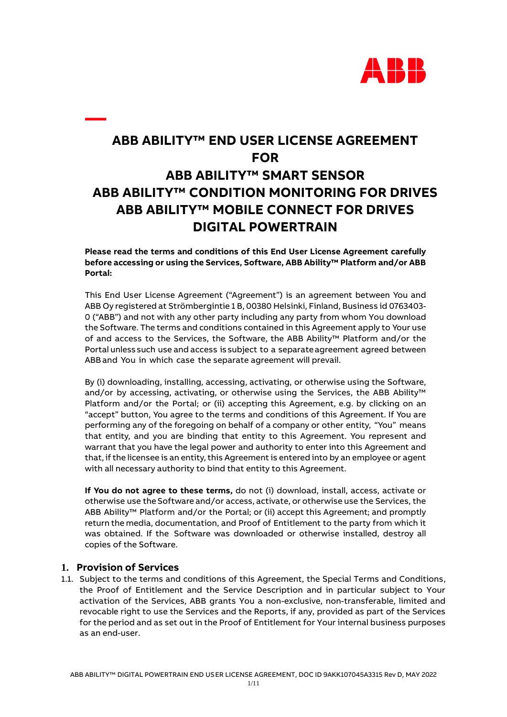

# **ABB ABILITY™ END USER LICENSE AGREEMENT FOR ABB ABILITY™ SMART SENSOR ABB ABILITY™ CONDITION MONITORING FOR DRIVES ABB ABILITY™ MOBILE CONNECT FOR DRIVES DIGITAL POWERTRAIN**

**Please read the terms and conditions of this End User License Agreement carefully before accessing or using the Services, Software, ABB Ability™ Platform and/or ABB Portal:**

This End User License Agreement ("Agreement") is an agreement between You and ABB Oy registered at Strömbergintie 1 B, 00380 Helsinki, Finland, Business id 0763403- 0 ("ABB") and not with any other party including any party from whom You download the Software. The terms and conditions contained in this Agreement apply to Your use of and access to the Services, the Software, the ABB Ability™ Platform and/or the Portal unlesssuch use and access issubject to a separateagreement agreed between ABBand You in which case the separate agreement will prevail.

By (i) downloading, installing, accessing, activating, or otherwise using the Software, and/or by accessing, activating, or otherwise using the Services, the ABB Ability™ Platform and/or the Portal; or (ii) accepting this Agreement, e.g. by clicking on an "accept" button, You agree to the terms and conditions of this Agreement. If You are performing any of the foregoing on behalf of a company or other entity, "You" means that entity, and you are binding that entity to this Agreement. You represent and warrant that you have the legal power and authority to enter into this Agreement and that, if the licensee is an entity, this Agreement is entered into by an employee or agent with all necessary authority to bind that entity to this Agreement.

**If You do not agree to these terms,** do not (i) download, install, access, activate or otherwise use the Software and/or access, activate, or otherwise use the Services, the ABB Ability™ Platform and/or the Portal; or (ii) accept this Agreement; and promptly return the media, documentation, and Proof of Entitlement to the party from which it was obtained. If the Software was downloaded or otherwise installed, destroy all copies of the Software.

### **1. Provision of Services**

**—**

1.1. Subject to the terms and conditions of this Agreement, the Special Terms and Conditions, the Proof of Entitlement and the Service Description and in particular subject to Your activation of the Services, ABB grants You a non-exclusive, non-transferable, limited and revocable right to use the Services and the Reports, if any, provided as part of the Services for the period and as set out in the Proof of Entitlement for Your internal business purposes as an end-user.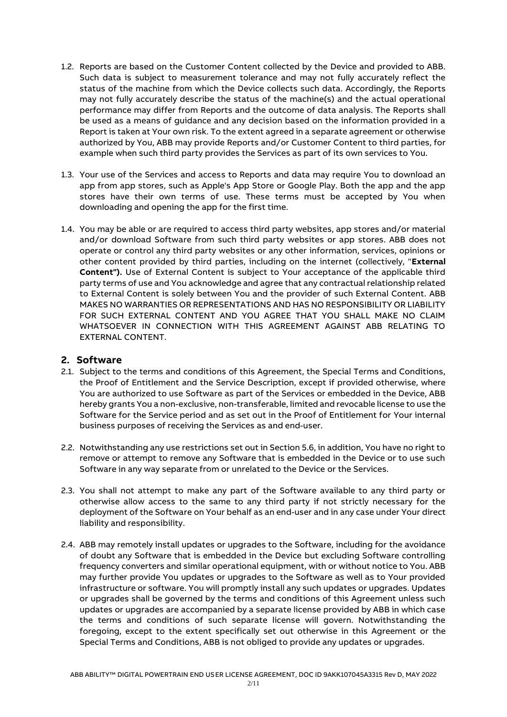- 1.2. Reports are based on the Customer Content collected by the Device and provided to ABB. Such data is subject to measurement tolerance and may not fully accurately reflect the status of the machine from which the Device collects such data. Accordingly, the Reports may not fully accurately describe the status of the machine(s) and the actual operational performance may differ from Reports and the outcome of data analysis. The Reports shall be used as a means of guidance and any decision based on the information provided in a Report is taken at Your own risk. To the extent agreed in a separate agreement or otherwise authorized by You, ABB may provide Reports and/or Customer Content to third parties, for example when such third party provides the Services as part of its own services to You.
- 1.3. Your use of the Services and access to Reports and data may require You to download an app from app stores, such as Apple's App Store or Google Play. Both the app and the app stores have their own terms of use. These terms must be accepted by You when downloading and opening the app for the first time.
- 1.4. You may be able or are required to access third party websites, app stores and/or material and/or download Software from such third party websites or app stores. ABB does not operate or control any third party websites or any other information, services, opinions or other content provided by third parties, including on the internet (collectively, "**External Content").** Use of External Content is subject to Your acceptance of the applicable third party terms of use and You acknowledge and agree that any contractual relationship related to External Content is solely between You and the provider of such External Content. ABB MAKES NO WARRANTIES OR REPRESENTATIONS AND HAS NO RESPONSIBILITY OR LIABILITY FOR SUCH EXTERNAL CONTENT AND YOU AGREE THAT YOU SHALL MAKE NO CLAIM WHATSOEVER IN CONNECTION WITH THIS AGREEMENT AGAINST ABB RELATING TO EXTERNAL CONTENT.

### **2. Software**

- 2.1. Subject to the terms and conditions of this Agreement, the Special Terms and Conditions, the Proof of Entitlement and the Service Description, except if provided otherwise, where You are authorized to use Software as part of the Services or embedded in the Device, ABB hereby grants You a non-exclusive, non-transferable, limited and revocable license to use the Software for the Service period and as set out in the Proof of Entitlement for Your internal business purposes of receiving the Services as and end-user.
- 2.2. Notwithstanding any use restrictions set out in Section 5.6, in addition, You have no right to remove or attempt to remove any Software that is embedded in the Device or to use such Software in any way separate from or unrelated to the Device or the Services.
- 2.3. You shall not attempt to make any part of the Software available to any third party or otherwise allow access to the same to any third party if not strictly necessary for the deployment of the Software on Your behalf as an end-user and in any case under Your direct liability and responsibility.
- 2.4. ABB may remotely install updates or upgrades to the Software, including for the avoidance of doubt any Software that is embedded in the Device but excluding Software controlling frequency converters and similar operational equipment, with or without notice to You. ABB may further provide You updates or upgrades to the Software as well as to Your provided infrastructure or software. You will promptly install any such updates or upgrades. Updates or upgrades shall be governed by the terms and conditions of this Agreement unless such updates or upgrades are accompanied by a separate license provided by ABB in which case the terms and conditions of such separate license will govern. Notwithstanding the foregoing, except to the extent specifically set out otherwise in this Agreement or the Special Terms and Conditions, ABB is not obliged to provide any updates or upgrades.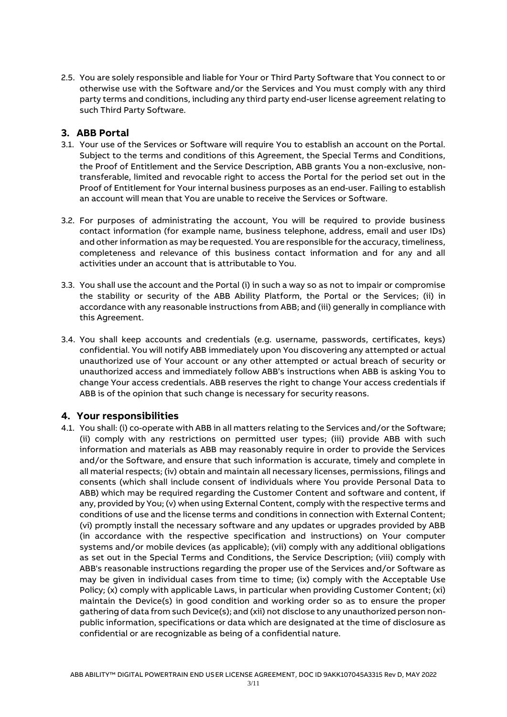2.5. You are solely responsible and liable for Your or Third Party Software that You connect to or otherwise use with the Software and/or the Services and You must comply with any third party terms and conditions, including any third party end-user license agreement relating to such Third Party Software.

### **3. ABB Portal**

- 3.1. Your use of the Services or Software will require You to establish an account on the Portal. Subject to the terms and conditions of this Agreement, the Special Terms and Conditions, the Proof of Entitlement and the Service Description, ABB grants You a non-exclusive, nontransferable, limited and revocable right to access the Portal for the period set out in the Proof of Entitlement for Your internal business purposes as an end-user. Failing to establish an account will mean that You are unable to receive the Services or Software.
- 3.2. For purposes of administrating the account, You will be required to provide business contact information (for example name, business telephone, address, email and user IDs) and other information as may be requested. You are responsible for the accuracy, timeliness, completeness and relevance of this business contact information and for any and all activities under an account that is attributable to You.
- 3.3. You shall use the account and the Portal (i) in such a way so as not to impair or compromise the stability or security of the ABB Ability Platform, the Portal or the Services; (ii) in accordance with any reasonable instructions from ABB; and (iii) generally in compliance with this Agreement.
- 3.4. You shall keep accounts and credentials (e.g. username, passwords, certificates, keys) confidential. You will notify ABB immediately upon You discovering any attempted or actual unauthorized use of Your account or any other attempted or actual breach of security or unauthorized access and immediately follow ABB's instructions when ABB is asking You to change Your access credentials. ABB reserves the right to change Your access credentials if ABB is of the opinion that such change is necessary for security reasons.

### **4. Your responsibilities**

4.1. You shall: (i) co-operate with ABB in all matters relating to the Services and/or the Software; (ii) comply with any restrictions on permitted user types; (iii) provide ABB with such information and materials as ABB may reasonably require in order to provide the Services and/or the Software, and ensure that such information is accurate, timely and complete in all material respects; (iv) obtain and maintain all necessary licenses, permissions, filings and consents (which shall include consent of individuals where You provide Personal Data to ABB) which may be required regarding the Customer Content and software and content, if any, provided by You; (v) when using External Content, comply with the respective terms and conditions of use and the license terms and conditions in connection with External Content; (vi) promptly install the necessary software and any updates or upgrades provided by ABB (in accordance with the respective specification and instructions) on Your computer systems and/or mobile devices (as applicable); (vii) comply with any additional obligations as set out in the Special Terms and Conditions, the Service Description; (viii) comply with ABB's reasonable instructions regarding the proper use of the Services and/or Software as may be given in individual cases from time to time; (ix) comply with the Acceptable Use Policy; (x) comply with applicable Laws, in particular when providing Customer Content; (xi) maintain the Device(s) in good condition and working order so as to ensure the proper gathering of data from such Device(s); and (xii) not disclose to any unauthorized person nonpublic information, specifications or data which are designated at the time of disclosure as confidential or are recognizable as being of a confidential nature.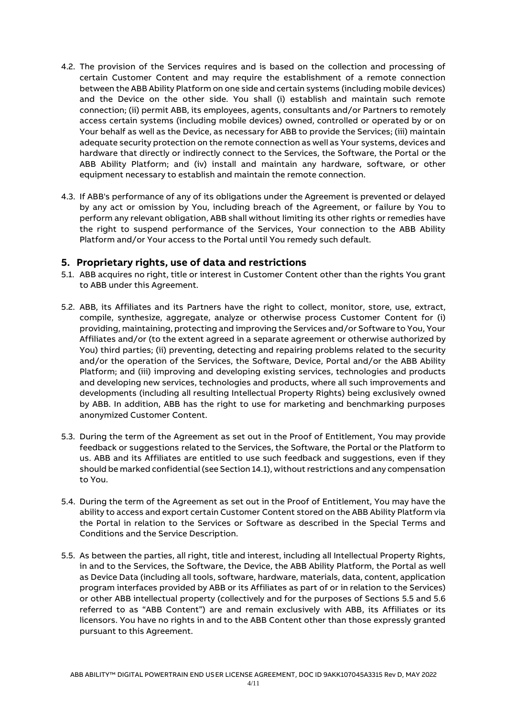- 4.2. The provision of the Services requires and is based on the collection and processing of certain Customer Content and may require the establishment of a remote connection between the ABB Ability Platform on one side and certain systems (including mobile devices) and the Device on the other side. You shall (i) establish and maintain such remote connection; (ii) permit ABB, its employees, agents, consultants and/or Partners to remotely access certain systems (including mobile devices) owned, controlled or operated by or on Your behalf as well as the Device, as necessary for ABB to provide the Services; (iii) maintain adequate security protection on the remote connection as well as Your systems, devices and hardware that directly or indirectly connect to the Services, the Software, the Portal or the ABB Ability Platform; and (iv) install and maintain any hardware, software, or other equipment necessary to establish and maintain the remote connection.
- 4.3. If ABB's performance of any of its obligations under the Agreement is prevented or delayed by any act or omission by You, including breach of the Agreement, or failure by You to perform any relevant obligation, ABB shall without limiting its other rights or remedies have the right to suspend performance of the Services, Your connection to the ABB Ability Platform and/or Your access to the Portal until You remedy such default.

### **5. Proprietary rights, use of data and restrictions**

- 5.1. ABB acquires no right, title or interest in Customer Content other than the rights You grant to ABB under this Agreement.
- 5.2. ABB, its Affiliates and its Partners have the right to collect, monitor, store, use, extract, compile, synthesize, aggregate, analyze or otherwise process Customer Content for (i) providing, maintaining, protecting and improving the Services and/or Software to You, Your Affiliates and/or (to the extent agreed in a separate agreement or otherwise authorized by You) third parties; (ii) preventing, detecting and repairing problems related to the security and/or the operation of the Services, the Software, Device, Portal and/or the ABB Ability Platform; and (iii) improving and developing existing services, technologies and products and developing new services, technologies and products, where all such improvements and developments (including all resulting Intellectual Property Rights) being exclusively owned by ABB. In addition, ABB has the right to use for marketing and benchmarking purposes anonymized Customer Content.
- 5.3. During the term of the Agreement as set out in the Proof of Entitlement, You may provide feedback or suggestions related to the Services, the Software, the Portal or the Platform to us. ABB and its Affiliates are entitled to use such feedback and suggestions, even if they should be marked confidential (see Section 14.1), without restrictions and any compensation to You.
- 5.4. During the term of the Agreement as set out in the Proof of Entitlement, You may have the ability to access and export certain Customer Content stored on the ABB Ability Platform via the Portal in relation to the Services or Software as described in the Special Terms and Conditions and the Service Description.
- 5.5. As between the parties, all right, title and interest, including all Intellectual Property Rights, in and to the Services, the Software, the Device, the ABB Ability Platform, the Portal as well as Device Data (including all tools, software, hardware, materials, data, content, application program interfaces provided by ABB or its Affiliates as part of or in relation to the Services) or other ABB intellectual property (collectively and for the purposes of Sections 5.5 and 5.6 referred to as "ABB Content") are and remain exclusively with ABB, its Affiliates or its licensors. You have no rights in and to the ABB Content other than those expressly granted pursuant to this Agreement.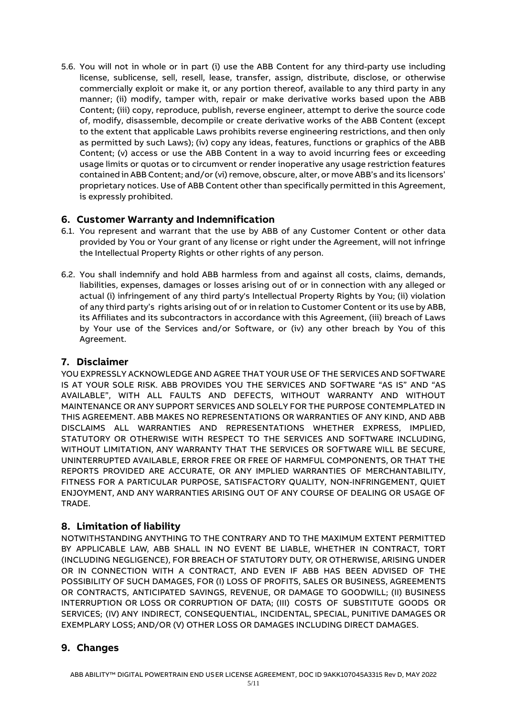5.6. You will not in whole or in part (i) use the ABB Content for any third-party use including license, sublicense, sell, resell, lease, transfer, assign, distribute, disclose, or otherwise commercially exploit or make it, or any portion thereof, available to any third party in any manner; (ii) modify, tamper with, repair or make derivative works based upon the ABB Content; (iii) copy, reproduce, publish, reverse engineer, attempt to derive the source code of, modify, disassemble, decompile or create derivative works of the ABB Content (except to the extent that applicable Laws prohibits reverse engineering restrictions, and then only as permitted by such Laws); (iv) copy any ideas, features, functions or graphics of the ABB Content; (v) access or use the ABB Content in a way to avoid incurring fees or exceeding usage limits or quotas or to circumvent or render inoperative any usage restriction features contained in ABB Content; and/or (vi) remove, obscure, alter, or move ABB's and its licensors' proprietary notices. Use of ABB Content other than specifically permitted in this Agreement, is expressly prohibited.

### **6. Customer Warranty and Indemnification**

- 6.1. You represent and warrant that the use by ABB of any Customer Content or other data provided by You or Your grant of any license or right under the Agreement, will not infringe the Intellectual Property Rights or other rights of any person.
- 6.2. You shall indemnify and hold ABB harmless from and against all costs, claims, demands, liabilities, expenses, damages or losses arising out of or in connection with any alleged or actual (i) infringement of any third party's Intellectual Property Rights by You; (ii) violation of any third party's rights arising out of or in relation to Customer Content or its use by ABB, its Affiliates and its subcontractors in accordance with this Agreement, (iii) breach of Laws by Your use of the Services and/or Software, or (iv) any other breach by You of this Agreement.

### **7. Disclaimer**

YOU EXPRESSLY ACKNOWLEDGE AND AGREE THAT YOUR USE OF THE SERVICES AND SOFTWARE IS AT YOUR SOLE RISK. ABB PROVIDES YOU THE SERVICES AND SOFTWARE "AS IS" AND "AS AVAILABLE", WITH ALL FAULTS AND DEFECTS, WITHOUT WARRANTY AND WITHOUT MAINTENANCE OR ANY SUPPORT SERVICES AND SOLELY FOR THE PURPOSE CONTEMPLATED IN THIS AGREEMENT. ABB MAKES NO REPRESENTATIONS OR WARRANTIES OF ANY KIND, AND ABB DISCLAIMS ALL WARRANTIES AND REPRESENTATIONS WHETHER EXPRESS, IMPLIED, STATUTORY OR OTHERWISE WITH RESPECT TO THE SERVICES AND SOFTWARE INCLUDING, WITHOUT LIMITATION, ANY WARRANTY THAT THE SERVICES OR SOFTWARE WILL BE SECURE, UNINTERRUPTED AVAILABLE, ERROR FREE OR FREE OF HARMFUL COMPONENTS, OR THAT THE REPORTS PROVIDED ARE ACCURATE, OR ANY IMPLIED WARRANTIES OF MERCHANTABILITY, FITNESS FOR A PARTICULAR PURPOSE, SATISFACTORY QUALITY, NON-INFRINGEMENT, QUIET ENJOYMENT, AND ANY WARRANTIES ARISING OUT OF ANY COURSE OF DEALING OR USAGE OF TRADE.

# **8. Limitation of liability**

NOTWITHSTANDING ANYTHING TO THE CONTRARY AND TO THE MAXIMUM EXTENT PERMITTED BY APPLICABLE LAW, ABB SHALL IN NO EVENT BE LIABLE, WHETHER IN CONTRACT, TORT (INCLUDING NEGLIGENCE), FOR BREACH OF STATUTORY DUTY, OR OTHERWISE, ARISING UNDER OR IN CONNECTION WITH A CONTRACT, AND EVEN IF ABB HAS BEEN ADVISED OF THE POSSIBILITY OF SUCH DAMAGES, FOR (I) LOSS OF PROFITS, SALES OR BUSINESS, AGREEMENTS OR CONTRACTS, ANTICIPATED SAVINGS, REVENUE, OR DAMAGE TO GOODWILL; (II) BUSINESS INTERRUPTION OR LOSS OR CORRUPTION OF DATA; (III) COSTS OF SUBSTITUTE GOODS OR SERVICES; (IV) ANY INDIRECT, CONSEQUENTIAL, INCIDENTAL, SPECIAL, PUNITIVE DAMAGES OR EXEMPLARY LOSS; AND/OR (V) OTHER LOSS OR DAMAGES INCLUDING DIRECT DAMAGES.

# **9. Changes**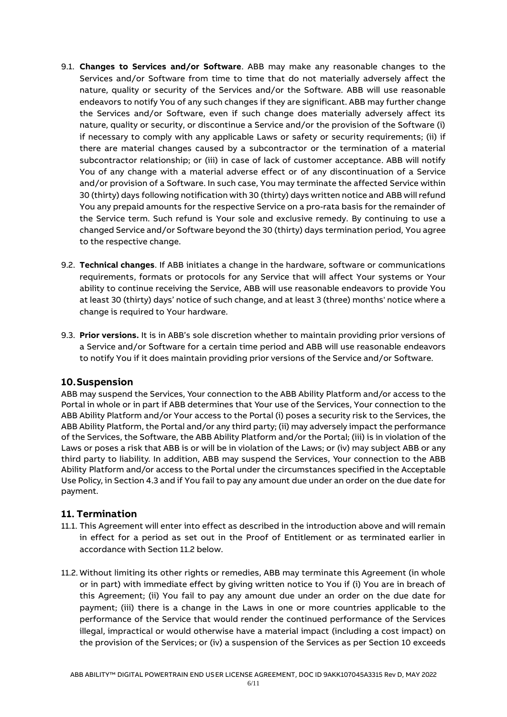- 9.1. **Changes to Services and/or Software**. ABB may make any reasonable changes to the Services and/or Software from time to time that do not materially adversely affect the nature, quality or security of the Services and/or the Software. ABB will use reasonable endeavors to notify You of any such changes if they are significant. ABB may further change the Services and/or Software, even if such change does materially adversely affect its nature, quality or security, or discontinue a Service and/or the provision of the Software (i) if necessary to comply with any applicable Laws or safety or security requirements; (ii) if there are material changes caused by a subcontractor or the termination of a material subcontractor relationship; or (iii) in case of lack of customer acceptance. ABB will notify You of any change with a material adverse effect or of any discontinuation of a Service and/or provision of a Software. In such case, You may terminate the affected Service within 30 (thirty) days following notification with 30 (thirty) days written notice and ABB will refund You any prepaid amounts for the respective Service on a pro-rata basis for the remainder of the Service term. Such refund is Your sole and exclusive remedy. By continuing to use a changed Service and/or Software beyond the 30 (thirty) days termination period, You agree to the respective change.
- 9.2. **Technical changes**. If ABB initiates a change in the hardware, software or communications requirements, formats or protocols for any Service that will affect Your systems or Your ability to continue receiving the Service, ABB will use reasonable endeavors to provide You at least 30 (thirty) days' notice of such change, and at least 3 (three) months' notice where a change is required to Your hardware.
- 9.3. **Prior versions.** It is in ABB's sole discretion whether to maintain providing prior versions of a Service and/or Software for a certain time period and ABB will use reasonable endeavors to notify You if it does maintain providing prior versions of the Service and/or Software.

### **10.Suspension**

ABB may suspend the Services, Your connection to the ABB Ability Platform and/or access to the Portal in whole or in part if ABB determines that Your use of the Services, Your connection to the ABB Ability Platform and/or Your access to the Portal (i) poses a security risk to the Services, the ABB Ability Platform, the Portal and/or any third party; (ii) may adversely impact the performance of the Services, the Software, the ABB Ability Platform and/or the Portal; (iii) is in violation of the Laws or poses a risk that ABB is or will be in violation of the Laws; or (iv) may subject ABB or any third party to liability. In addition, ABB may suspend the Services, Your connection to the ABB Ability Platform and/or access to the Portal under the circumstances specified in the Acceptable Use Policy, in Section 4.3 and if You fail to pay any amount due under an order on the due date for payment.

### **11. Termination**

- 11.1. This Agreement will enter into effect as described in the introduction above and will remain in effect for a period as set out in the Proof of Entitlement or as terminated earlier in accordance with Section 11.2 below.
- 11.2. Without limiting its other rights or remedies, ABB may terminate this Agreement (in whole or in part) with immediate effect by giving written notice to You if (i) You are in breach of this Agreement; (ii) You fail to pay any amount due under an order on the due date for payment; (iii) there is a change in the Laws in one or more countries applicable to the performance of the Service that would render the continued performance of the Services illegal, impractical or would otherwise have a material impact (including a cost impact) on the provision of the Services; or (iv) a suspension of the Services as per Section 10 exceeds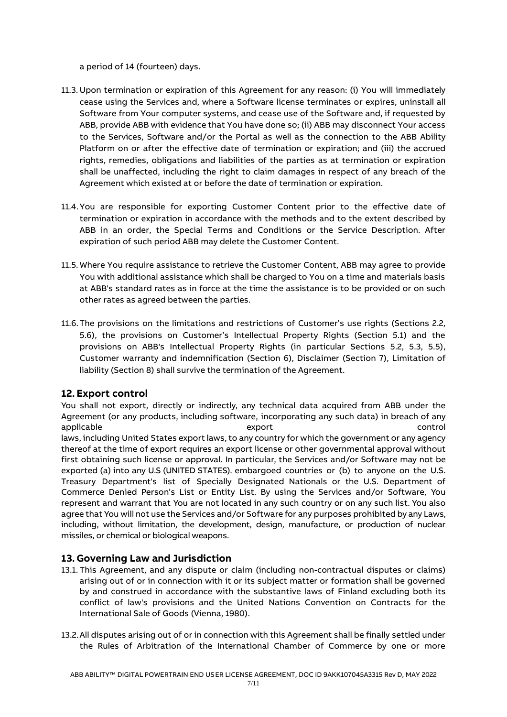a period of 14 (fourteen) days.

- 11.3. Upon termination or expiration of this Agreement for any reason: (i) You will immediately cease using the Services and, where a Software license terminates or expires, uninstall all Software from Your computer systems, and cease use of the Software and, if requested by ABB, provide ABB with evidence that You have done so; (ii) ABB may disconnect Your access to the Services, Software and/or the Portal as well as the connection to the ABB Ability Platform on or after the effective date of termination or expiration; and (iii) the accrued rights, remedies, obligations and liabilities of the parties as at termination or expiration shall be unaffected, including the right to claim damages in respect of any breach of the Agreement which existed at or before the date of termination or expiration.
- 11.4.You are responsible for exporting Customer Content prior to the effective date of termination or expiration in accordance with the methods and to the extent described by ABB in an order, the Special Terms and Conditions or the Service Description. After expiration of such period ABB may delete the Customer Content.
- 11.5. Where You require assistance to retrieve the Customer Content, ABB may agree to provide You with additional assistance which shall be charged to You on a time and materials basis at ABB's standard rates as in force at the time the assistance is to be provided or on such other rates as agreed between the parties.
- 11.6.The provisions on the limitations and restrictions of Customer's use rights (Sections 2.2, 5.6), the provisions on Customer's Intellectual Property Rights (Section 5.1) and the provisions on ABB's Intellectual Property Rights (in particular Sections 5.2, 5.3, 5.5), Customer warranty and indemnification (Section 6), Disclaimer (Section 7), Limitation of liability (Section 8) shall survive the termination of the Agreement.

### **12. Export control**

You shall not export, directly or indirectly, any technical data acquired from ABB under the Agreement (or any products, including software, incorporating any such data) in breach of any applicable export export to the control of the state of the control of the control laws, including United States export laws, to any country for which the government or any agency thereof at the time of export requires an export license or other governmental approval without first obtaining such license or approval. In particular, the Services and/or Software may not be exported (a) into any U.S (UNITED STATES). embargoed countries or (b) to anyone on the U.S. Treasury Department's list of Specially Designated Nationals or the U.S. Department of Commerce Denied Person's List or Entity List. By using the Services and/or Software, You represent and warrant that You are not located in any such country or on any such list. You also agree that You will not use the Services and/or Software for any purposes prohibited by any Laws, including, without limitation, the development, design, manufacture, or production of nuclear missiles, or chemical or biological weapons.

### **13. Governing Law and Jurisdiction**

- 13.1. This Agreement, and any dispute or claim (including non-contractual disputes or claims) arising out of or in connection with it or its subject matter or formation shall be governed by and construed in accordance with the substantive laws of Finland excluding both its conflict of law's provisions and the United Nations Convention on Contracts for the International Sale of Goods (Vienna, 1980).
- 13.2.All disputes arising out of or in connection with this Agreement shall be finally settled under the Rules of Arbitration of the International Chamber of Commerce by one or more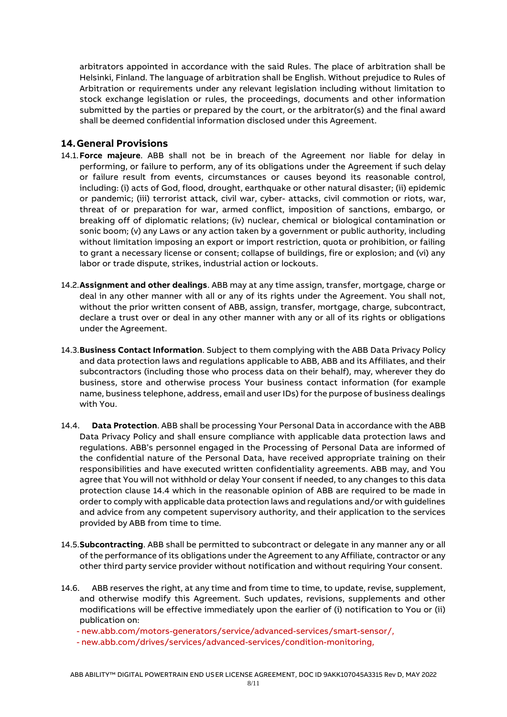arbitrators appointed in accordance with the said Rules. The place of arbitration shall be Helsinki, Finland. The language of arbitration shall be English. Without prejudice to Rules of Arbitration or requirements under any relevant legislation including without limitation to stock exchange legislation or rules, the proceedings, documents and other information submitted by the parties or prepared by the court, or the arbitrator(s) and the final award shall be deemed confidential information disclosed under this Agreement.

### **14.General Provisions**

- 14.1.**Force majeure**. ABB shall not be in breach of the Agreement nor liable for delay in performing, or failure to perform, any of its obligations under the Agreement if such delay or failure result from events, circumstances or causes beyond its reasonable control, including: (i) acts of God, flood, drought, earthquake or other natural disaster; (ii) epidemic or pandemic; (iii) terrorist attack, civil war, cyber- attacks, civil commotion or riots, war, threat of or preparation for war, armed conflict, imposition of sanctions, embargo, or breaking off of diplomatic relations; (iv) nuclear, chemical or biological contamination or sonic boom; (v) any Laws or any action taken by a government or public authority, including without limitation imposing an export or import restriction, quota or prohibition, or failing to grant a necessary license or consent; collapse of buildings, fire or explosion; and (vi) any labor or trade dispute, strikes, industrial action or lockouts.
- 14.2.**Assignment and other dealings**. ABB may at any time assign, transfer, mortgage, charge or deal in any other manner with all or any of its rights under the Agreement. You shall not, without the prior written consent of ABB, assign, transfer, mortgage, charge, subcontract, declare a trust over or deal in any other manner with any or all of its rights or obligations under the Agreement.
- 14.3.**Business Contact Information**. Subject to them complying with the ABB Data Privacy Policy and data protection laws and regulations applicable to ABB, ABB and its Affiliates, and their subcontractors (including those who process data on their behalf), may, wherever they do business, store and otherwise process Your business contact information (for example name, business telephone, address, email and user IDs) for the purpose of business dealings with You.
- 14.4. **Data Protection**. ABB shall be processing Your Personal Data in accordance with the ABB Data Privacy Policy and shall ensure compliance with applicable data protection laws and regulations. ABB's personnel engaged in the Processing of Personal Data are informed of the confidential nature of the Personal Data, have received appropriate training on their responsibilities and have executed written confidentiality agreements. ABB may, and You agree that You will not withhold or delay Your consent if needed, to any changes to this data protection clause 14.4 which in the reasonable opinion of ABB are required to be made in order to comply with applicable data protection laws and regulations and/or with guidelines and advice from any competent supervisory authority, and their application to the services provided by ABB from time to time.
- 14.5.**Subcontracting**. ABB shall be permitted to subcontract or delegate in any manner any or all of the performance of its obligations under the Agreement to any Affiliate, contractor or any other third party service provider without notification and without requiring Your consent.
- 14.6. ABB reserves the right, at any time and from time to time, to update, revise, supplement, and otherwise modify this Agreement. Such updates, revisions, supplements and other modifications will be effective immediately upon the earlier of (i) notification to You or (ii) publication on:

- [new.abb.com/motors-generators/service/advanced-services/smart-sensor/,](https://new.abb.com/motors-generators/service/advanced-services/smart-sensor)

- [new.abb.com/drives/services/advanced-services/condition-monitoring,](https://new.abb.com/drives/services/advanced-services/condition-monitoring)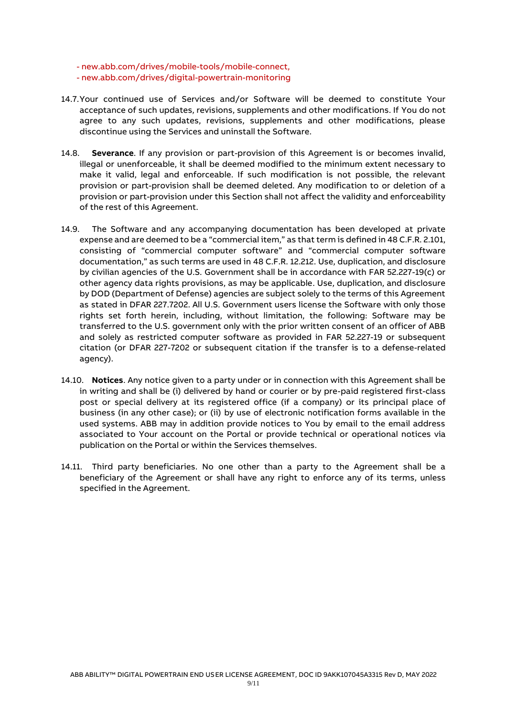- [new.abb.com/drives/mobile-tools/mobile-connect,](https://new.abb.com/drives/mobile-tools/mobile-connect) - [new.abb.com/drives/digital-powertrain-monitoring](https://new.abb.com/drives/digital-powertrain-monitoring)

- 14.7.Your continued use of Services and/or Software will be deemed to constitute Your acceptance of such updates, revisions, supplements and other modifications. If You do not agree to any such updates, revisions, supplements and other modifications, please discontinue using the Services and uninstall the Software.
- 14.8. **Severance**. If any provision or part-provision of this Agreement is or becomes invalid, illegal or unenforceable, it shall be deemed modified to the minimum extent necessary to make it valid, legal and enforceable. If such modification is not possible, the relevant provision or part-provision shall be deemed deleted. Any modification to or deletion of a provision or part-provision under this Section shall not affect the validity and enforceability of the rest of this Agreement.
- 14.9. The Software and any accompanying documentation has been developed at private expense and are deemed to be a "commercial item," as that term is defined in 48 C.F.R. 2.101, consisting of "commercial computer software" and "commercial computer software documentation," as such terms are used in 48 C.F.R. 12.212. Use, duplication, and disclosure by civilian agencies of the U.S. Government shall be in accordance with FAR 52.227-19(c) or other agency data rights provisions, as may be applicable. Use, duplication, and disclosure by DOD (Department of Defense) agencies are subject solely to the terms of this Agreement as stated in DFAR 227.7202. All U.S. Government users license the Software with only those rights set forth herein, including, without limitation, the following: Software may be transferred to the U.S. government only with the prior written consent of an officer of ABB and solely as restricted computer software as provided in FAR 52.227-19 or subsequent citation (or DFAR 227-7202 or subsequent citation if the transfer is to a defense-related agency).
- 14.10. **Notices**. Any notice given to a party under or in connection with this Agreement shall be in writing and shall be (i) delivered by hand or courier or by pre-paid registered first-class post or special delivery at its registered office (if a company) or its principal place of business (in any other case); or (ii) by use of electronic notification forms available in the used systems. ABB may in addition provide notices to You by email to the email address associated to Your account on the Portal or provide technical or operational notices via publication on the Portal or within the Services themselves.
- 14.11. Third party beneficiaries. No one other than a party to the Agreement shall be a beneficiary of the Agreement or shall have any right to enforce any of its terms, unless specified in the Agreement.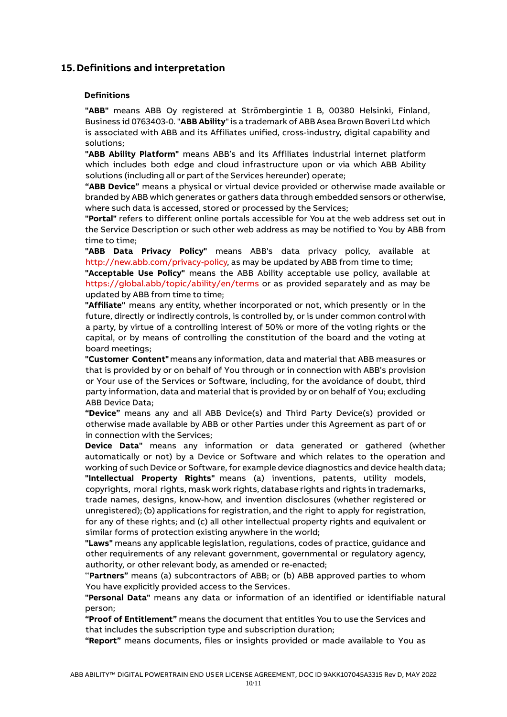### **15.Definitions and interpretation**

#### **Definitions**

**"ABB"** means ABB Oy registered at Strömbergintie 1 B, 00380 Helsinki, Finland, Business id 0763403-0. "**ABB Ability**"is a trademark of ABB Asea Brown Boveri Ltd which is associated with ABB and its Affiliates unified, cross-industry, digital capability and solutions;

**"ABB Ability Platform"** means ABB's and its Affiliates industrial internet platform which includes both edge and cloud infrastructure upon or via which ABB Ability solutions (including all or part of the Services hereunder) operate;

**"ABB Device"** means a physical or virtual device provided or otherwise made available or branded by ABB which generates or gathers data through embedded sensors or otherwise, where such data is accessed, stored or processed by the Services;

**"Portal"** refers to different online portals accessible for You at the web address set out in the Service Description or such other web address as may be notified to You by ABB from time to time;

**"ABB Data Privacy Policy"** means ABB's data privacy policy, available at [http://new.abb.com/privacy-policy, a](http://new.abb.com/privacy-policy)s may be updated by ABB from time to time; **"Acceptable Use Policy"** means the ABB Ability acceptable use policy, available at [https://global.abb/topic/ability/en/terms](http://www.abb.com/smartsensor) or as provided separately and as may be

updated by ABB from time to time;

**"Affiliate"** means any entity, whether incorporated or not, which presently or in the future, directly or indirectly controls, is controlled by, or is under common control with a party, by virtue of a controlling interest of 50% or more of the voting rights or the capital, or by means of controlling the constitution of the board and the voting at board meetings;

**"Customer Content"** meansany information, data and material that ABB measures or that is provided by or on behalf of You through or in connection with ABB's provision or Your use of the Services or Software, including, for the avoidance of doubt, third party information, data and material that is provided by or on behalf of You; excluding ABB Device Data;

**"Device"** means any and all ABB Device(s) and Third Party Device(s) provided or otherwise made available by ABB or other Parties under this Agreement as part of or in connection with the Services;

**Device Data"** means any information or data generated or gathered (whether automatically or not) by a Device or Software and which relates to the operation and working of such Device or Software, for example device diagnostics and device health data; **"Intellectual Property Rights"** means (a) inventions, patents, utility models,

copyrights, moral rights, mask work rights, database rights and rights in trademarks, trade names, designs, know-how, and invention disclosures (whether registered or unregistered);(b) applications forregistration, and the right to apply for registration, for any of these rights; and (c) all other intellectual property rights and equivalent or similar forms of protection existing anywhere in the world;

**"Laws"** means any applicable legislation, regulations, codes of practice, guidance and other requirements of any relevant government, governmental or regulatory agency, authority, or other relevant body, as amended or re-enacted;

"**Partners"** means (a) subcontractors of ABB; or (b) ABB approved parties to whom You have explicitly provided access to the Services.

**"Personal Data"** means any data or information of an identified or identifiable natural person;

**"Proof of Entitlement"** means the document that entitles You to use the Services and that includes the subscription type and subscription duration;

**"Report"** means documents, files or insights provided or made available to You as